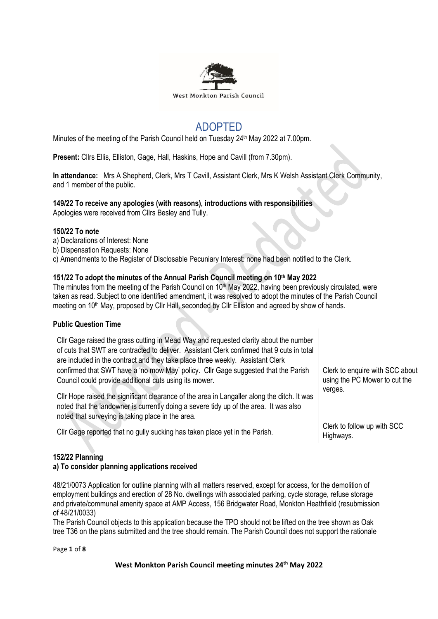

# ADOPTED

Minutes of the meeting of the Parish Council held on Tuesday  $24<sup>th</sup>$  May 2022 at 7.00pm.

**Present:** Cllrs Ellis, Elliston, Gage, Hall, Haskins, Hope and Cavill (from 7.30pm).

**In attendance:** Mrs A Shepherd, Clerk, Mrs T Cavill, Assistant Clerk, Mrs K Welsh Assistant Clerk Community, and 1 member of the public.

## **149/22 To receive any apologies (with reasons), introductions with responsibilities**

Apologies were received from Cllrs Besley and Tully.

## **150/22 To note**

- a) Declarations of Interest: None
- b) Dispensation Requests: None
- c) Amendments to the Register of Disclosable Pecuniary Interest: none had been notified to the Clerk.

## **151/22 To adopt the minutes of the Annual Parish Council meeting on 10th May 2022**

The minutes from the meeting of the Parish Council on 10<sup>th</sup> May 2022, having been previously circulated, were taken as read. Subject to one identified amendment, it was resolved to adopt the minutes of the Parish Council meeting on 10<sup>th</sup> May, proposed by Cllr Hall, seconded by Cllr Elliston and agreed by show of hands.

## **Public Question Time**

Cllr Gage raised the grass cutting in Mead Way and requested clarity about the number of cuts that SWT are contracted to deliver. Assistant Clerk confirmed that 9 cuts in total are included in the contract and they take place three weekly. Assistant Clerk confirmed that SWT have a 'no mow May' policy. Cllr Gage suggested that the Parish Council could provide additional cuts using its mower.

Cllr Hope raised the significant clearance of the area in Langaller along the ditch. It was noted that the landowner is currently doing a severe tidy up of the area. It was also noted that surveying is taking place in the area.

Cllr Gage reported that no gully sucking has taken place yet in the Parish.

Clerk to follow up with SCC Highways.

verges.

Clerk to enquire with SCC about using the PC Mower to cut the

## **152/22 Planning**

## **a) To consider planning applications received**

48/21/0073 Application for outline planning with all matters reserved, except for access, for the demolition of employment buildings and erection of 28 No. dwellings with associated parking, cycle storage, refuse storage and private/communal amenity space at AMP Access, 156 Bridgwater Road, Monkton Heathfield (resubmission of 48/21/0033)

The Parish Council objects to this application because the TPO should not be lifted on the tree shown as Oak tree T36 on the plans submitted and the tree should remain. The Parish Council does not support the rationale

Page **1** of **8**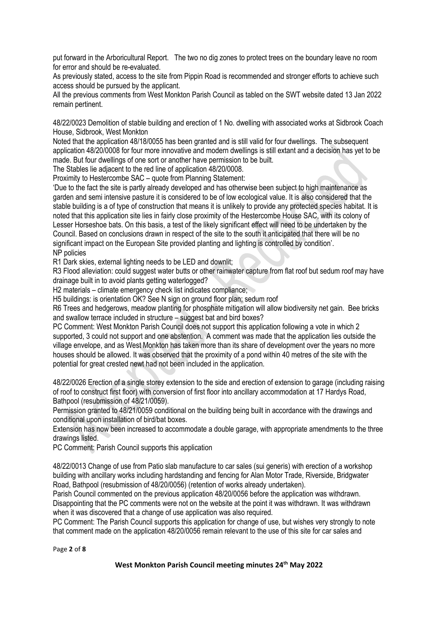put forward in the Arboricultural Report. The two no dig zones to protect trees on the boundary leave no room for error and should be re-evaluated.

As previously stated, access to the site from Pippin Road is recommended and stronger efforts to achieve such access should be pursued by the applicant.

All the previous comments from West Monkton Parish Council as tabled on the SWT website dated 13 Jan 2022 remain pertinent.

48/22/0023 Demolition of stable building and erection of 1 No. dwelling with associated works at Sidbrook Coach House, Sidbrook, West Monkton

Noted that the application 48/18/0055 has been granted and is still valid for four dwellings. The subsequent application 48/20/0008 for four more innovative and modern dwellings is still extant and a decision has yet to be made. But four dwellings of one sort or another have permission to be built.

The Stables lie adjacent to the red line of application 48/20/0008.

Proximity to Hestercombe SAC – quote from Planning Statement:

'Due to the fact the site is partly already developed and has otherwise been subject to high maintenance as garden and semi intensive pasture it is considered to be of low ecological value. It is also considered that the stable building is a of type of construction that means it is unlikely to provide any protected species habitat. It is noted that this application site lies in fairly close proximity of the Hestercombe House SAC, with its colony of Lesser Horseshoe bats. On this basis, a test of the likely significant effect will need to be undertaken by the Council. Based on conclusions drawn in respect of the site to the south it anticipated that there will be no significant impact on the European Site provided planting and lighting is controlled by condition'. NP policies

R1 Dark skies, external lighting needs to be LED and downlit;

R3 Flood alleviation: could suggest water butts or other rainwater capture from flat roof but sedum roof may have drainage built in to avoid plants getting waterlogged?

H2 materials – climate emergency check list indicates compliance;

H5 buildings: is orientation OK? See N sign on ground floor plan; sedum roof

R6 Trees and hedgerows, meadow planting for phosphate mitigation will allow biodiversity net gain. Bee bricks and swallow terrace included in structure – suggest bat and bird boxes?

PC Comment: West Monkton Parish Council does not support this application following a vote in which 2 supported, 3 could not support and one abstention. A comment was made that the application lies outside the village envelope, and as West Monkton has taken more than its share of development over the years no more houses should be allowed. It was observed that the proximity of a pond within 40 metres of the site with the potential for great crested newt had not been included in the application.

48/22/0026 Erection of a single storey extension to the side and erection of extension to garage (including raising of roof to construct first floor) with conversion of first floor into ancillary accommodation at 17 Hardys Road, Bathpool (resubmission of 48/21/0059).

Permission granted to 48/21/0059 conditional on the building being built in accordance with the drawings and conditional upon installation of bird/bat boxes.

Extension has now been increased to accommodate a double garage, with appropriate amendments to the three drawings listed.

PC Comment: Parish Council supports this application

48/22/0013 Change of use from Patio slab manufacture to car sales (sui generis) with erection of a workshop building with ancillary works including hardstanding and fencing for Alan Motor Trade, Riverside, Bridgwater Road, Bathpool (resubmission of 48/20/0056) (retention of works already undertaken).

Parish Council commented on the previous application 48/20/0056 before the application was withdrawn. Disappointing that the PC comments were not on the website at the point it was withdrawn. It was withdrawn when it was discovered that a change of use application was also required.

PC Comment: The Parish Council supports this application for change of use, but wishes very strongly to note that comment made on the application 48/20/0056 remain relevant to the use of this site for car sales and

Page **2** of **8**

**West Monkton Parish Council meeting minutes 24th May 2022**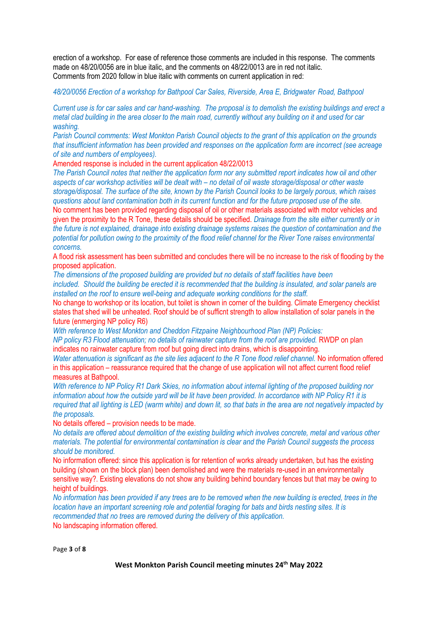erection of a workshop. For ease of reference those comments are included in this response. The comments made on 48/20/0056 are in blue italic, and the comments on 48/22/0013 are in red not italic. Comments from 2020 follow in blue italic with comments on current application in red:

## *48/20/0056 Erection of a workshop for Bathpool Car Sales, Riverside, Area E, Bridgwater Road, Bathpool*

*Current use is for car sales and car hand-washing. The proposal is to demolish the existing buildings and erect a metal clad building in the area closer to the main road, currently without any building on it and used for car washing.*

*Parish Council comments: West Monkton Parish Council objects to the grant of this application on the grounds that insufficient information has been provided and responses on the application form are incorrect (see acreage of site and numbers of employees).*

Amended response is included in the current application 48/22/0013

*The Parish Council notes that neither the application form nor any submitted report indicates how oil and other aspects of car workshop activities will be dealt with – no detail of oil waste storage/disposal or other waste storage/disposal. The surface of the site, known by the Parish Council looks to be largely porous, which raises questions about land contamination both in its current function and for the future proposed use of the site.* No comment has been provided regarding disposal of oil or other materials associated with motor vehicles and

given the proximity to the R Tone, these details should be specified. *Drainage from the site either currently or in the future is not explained, drainage into existing drainage systems raises the question of contamination and the potential for pollution owing to the proximity of the flood relief channel for the River Tone raises environmental concerns.*

A flood risk assessment has been submitted and concludes there will be no increase to the risk of flooding by the proposed application.

*The dimensions of the proposed building are provided but no details of staff facilities have been included. Should the building be erected it is recommended that the building is insulated, and solar panels are installed on the roof to ensure well-being and adequate working conditions for the staff.*

No change to workshop or its location, but toilet is shown in corner of the building. Climate Emergency checklist states that shed will be unheated. Roof should be of sufficnt strength to allow installation of solar panels in the future (enmerging NP policy R6)

*With reference to West Monkton and Cheddon Fitzpaine Neighbourhood Plan (NP) Policies:*

*NP policy R3 Flood attenuation; no details of rainwater capture from the roof are provided.* RWDP on plan indicates no rainwater capture from roof but going direct into drains, which is disappointing.

*Water attenuation is significant as the site lies adjacent to the R Tone flood relief channel.* No information offered in this application – reassurance required that the change of use application will not affect current flood relief measures at Bathpool.

*With reference to NP Policy R1 Dark Skies, no information about internal lighting of the proposed building nor information about how the outside yard will be lit have been provided. In accordance with NP Policy R1 it is required that all lighting is LED (warm white) and down lit, so that bats in the area are not negatively impacted by the proposals.*

No details offered – provision needs to be made.

*No details are offered about demolition of the existing building which involves concrete, metal and various other materials. The potential for environmental contamination is clear and the Parish Council suggests the process should be monitored.*

No information offered: since this application is for retention of works already undertaken, but has the existing building (shown on the block plan) been demolished and were the materials re-used in an environmentally sensitive way?. Existing elevations do not show any building behind boundary fences but that may be owing to height of buildings.

*No information has been provided if any trees are to be removed when the new building is erected, trees in the location have an important screening role and potential foraging for bats and birds nesting sites. It is recommended that no trees are removed during the delivery of this application.* No landscaping information offered.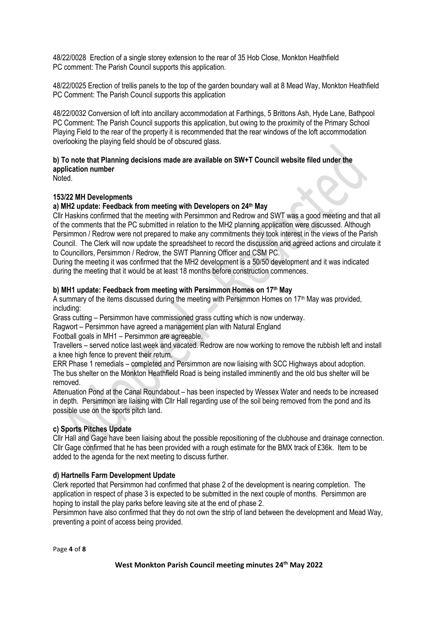48/22/0028 Erection of a single storey extension to the rear of 35 Hob Close, Monkton Heathfield PC comment: The Parish Council supports this application.

48/22/0025 Erection of trellis panels to the top of the garden boundary wall at 8 Mead Way, Monkton Heathfield PC Comment: The Parish Council supports this application

48/22/0032 Conversion of loft into ancillary accommodation at Farthings, 5 Brittons Ash, Hyde Lane, Bathpool PC Comment: The Parish Council supports this application, but owing to the proximity of the Primary School Playing Field to the rear of the property it is recommended that the rear windows of the loft accommodation overlooking the playing field should be of obscured glass.

## **b) To note that Planning decisions made are available on SW+T Council website filed under the application number**

Noted.

## **153/22 MH Developments**

## **a) MH2 update: Feedback from meeting with Developers on 24th May**

Cllr Haskins confirmed that the meeting with Persimmon and Redrow and SWT was a good meeting and that all of the comments that the PC submitted in relation to the MH2 planning application were discussed. Although Persimmon / Redrow were not prepared to make any commitments they took interest in the views of the Parish Council. The Clerk will now update the spreadsheet to record the discussion and agreed actions and circulate it to Councillors, Persimmon / Redrow, the SWT Planning Officer and CSM PC.

During the meeting it was confirmed that the MH2 development is a 50/50 development and it was indicated during the meeting that it would be at least 18 months before construction commences.

## **b) MH1 update: Feedback from meeting with Persimmon Homes on 17th May**

A summary of the items discussed during the meeting with Persimmon Homes on 17<sup>th</sup> May was provided, including:

Grass cutting – Persimmon have commissioned grass cutting which is now underway.

Ragwort – Persimmon have agreed a management plan with Natural England

Football goals in MH1 – Persimmon are agreeable.

Travellers – served notice last week and vacated. Redrow are now working to remove the rubbish left and install a knee high fence to prevent their return.

ERR Phase 1 remedials – completed and Persimmon are now liaising with SCC Highways about adoption. The bus shelter on the Monkton Heathfield Road is being installed imminently and the old bus shelter will be removed.

Attenuation Pond at the Canal Roundabout – has been inspected by Wessex Water and needs to be increased in depth. Persimmon are liaising with Cllr Hall regarding use of the soil being removed from the pond and its possible use on the sports pitch land.

## **c) Sports Pitches Update**

Cllr Hall and Gage have been liaising about the possible repositioning of the clubhouse and drainage connection. Cllr Gage confirmed that he has been provided with a rough estimate for the BMX track of £36k. Item to be added to the agenda for the next meeting to discuss further.

## **d) Hartnells Farm Development Update**

Clerk reported that Persimmon had confirmed that phase 2 of the development is nearing completion. The application in respect of phase 3 is expected to be submitted in the next couple of months. Persimmon are hoping to install the play parks before leaving site at the end of phase 2.

Persimmon have also confirmed that they do not own the strip of land between the development and Mead Way, preventing a point of access being provided.

Page **4** of **8**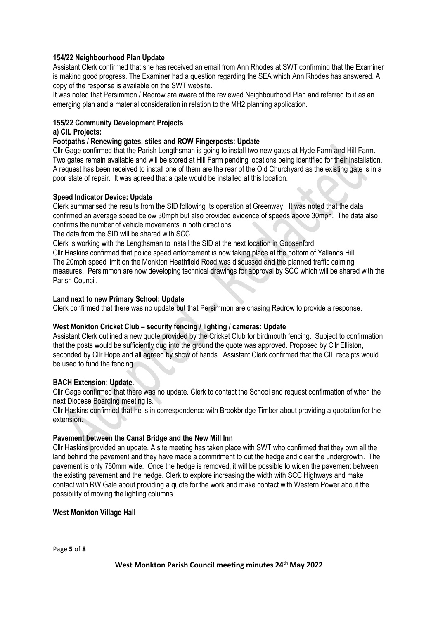## **154/22 Neighbourhood Plan Update**

Assistant Clerk confirmed that she has received an email from Ann Rhodes at SWT confirming that the Examiner is making good progress. The Examiner had a question regarding the SEA which Ann Rhodes has answered. A copy of the response is available on the SWT website.

It was noted that Persimmon / Redrow are aware of the reviewed Neighbourhood Plan and referred to it as an emerging plan and a material consideration in relation to the MH2 planning application.

## **155/22 Community Development Projects**

## **a) CIL Projects:**

## **Footpaths / Renewing gates, stiles and ROW Fingerposts: Update**

Cllr Gage confirmed that the Parish Lengthsman is going to install two new gates at Hyde Farm and Hill Farm. Two gates remain available and will be stored at Hill Farm pending locations being identified for their installation. A request has been received to install one of them are the rear of the Old Churchyard as the existing gate is in a poor state of repair. It was agreed that a gate would be installed at this location.

## **Speed Indicator Device: Update**

Clerk summarised the results from the SID following its operation at Greenway. It was noted that the data confirmed an average speed below 30mph but also provided evidence of speeds above 30mph. The data also confirms the number of vehicle movements in both directions.

The data from the SID will be shared with SCC.

Clerk is working with the Lengthsman to install the SID at the next location in Goosenford.

Cllr Haskins confirmed that police speed enforcement is now taking place at the bottom of Yallands Hill. The 20mph speed limit on the Monkton Heathfield Road was discussed and the planned traffic calming measures. Persimmon are now developing technical drawings for approval by SCC which will be shared with the Parish Council.

## **Land next to new Primary School: Update**

Clerk confirmed that there was no update but that Persimmon are chasing Redrow to provide a response.

## **West Monkton Cricket Club – security fencing / lighting / cameras: Update**

Assistant Clerk outlined a new quote provided by the Cricket Club for birdmouth fencing. Subject to confirmation that the posts would be sufficiently dug into the ground the quote was approved. Proposed by Cllr Elliston, seconded by Cllr Hope and all agreed by show of hands. Assistant Clerk confirmed that the CIL receipts would be used to fund the fencing.

## **BACH Extension: Update.**

Cllr Gage confirmed that there was no update. Clerk to contact the School and request confirmation of when the next Diocese Boarding meeting is.

Cllr Haskins confirmed that he is in correspondence with Brookbridge Timber about providing a quotation for the extension.

## **Pavement between the Canal Bridge and the New Mill Inn**

Cllr Haskins provided an update. A site meeting has taken place with SWT who confirmed that they own all the land behind the pavement and they have made a commitment to cut the hedge and clear the undergrowth. The pavement is only 750mm wide. Once the hedge is removed, it will be possible to widen the pavement between the existing pavement and the hedge. Clerk to explore increasing the width with SCC Highways and make contact with RW Gale about providing a quote for the work and make contact with Western Power about the possibility of moving the lighting columns.

## **West Monkton Village Hall**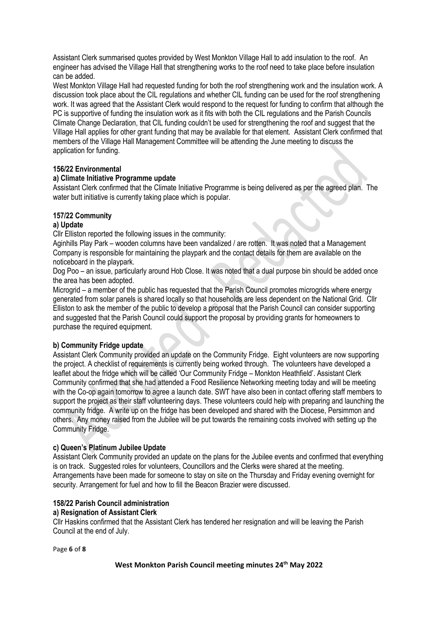Assistant Clerk summarised quotes provided by West Monkton Village Hall to add insulation to the roof. An engineer has advised the Village Hall that strengthening works to the roof need to take place before insulation can be added.

West Monkton Village Hall had requested funding for both the roof strengthening work and the insulation work. A discussion took place about the CIL regulations and whether CIL funding can be used for the roof strengthening work. It was agreed that the Assistant Clerk would respond to the request for funding to confirm that although the PC is supportive of funding the insulation work as it fits with both the CIL regulations and the Parish Councils Climate Change Declaration, that CIL funding couldn't be used for strengthening the roof and suggest that the Village Hall applies for other grant funding that may be available for that element. Assistant Clerk confirmed that members of the Village Hall Management Committee will be attending the June meeting to discuss the application for funding.

## **156/22 Environmental**

## **a) Climate Initiative Programme update**

Assistant Clerk confirmed that the Climate Initiative Programme is being delivered as per the agreed plan. The water butt initiative is currently taking place which is popular.

## **157/22 Community**

## **a) Update**

Cllr Elliston reported the following issues in the community:

Aginhills Play Park – wooden columns have been vandalized / are rotten. It was noted that a Management Company is responsible for maintaining the playpark and the contact details for them are available on the noticeboard in the playpark.

Dog Poo – an issue, particularly around Hob Close. It was noted that a dual purpose bin should be added once the area has been adopted.

Microgrid – a member of the public has requested that the Parish Council promotes microgrids where energy generated from solar panels is shared locally so that households are less dependent on the National Grid. Cllr Elliston to ask the member of the public to develop a proposal that the Parish Council can consider supporting and suggested that the Parish Council could support the proposal by providing grants for homeowners to purchase the required equipment.

## **b) Community Fridge update**

Assistant Clerk Community provided an update on the Community Fridge. Eight volunteers are now supporting the project. A checklist of requirements is currently being worked through. The volunteers have developed a leaflet about the fridge which will be called 'Our Community Fridge – Monkton Heathfield'. Assistant Clerk Community confirmed that she had attended a Food Resilience Networking meeting today and will be meeting with the Co-op again tomorrow to agree a launch date. SWT have also been in contact offering staff members to support the project as their staff volunteering days. These volunteers could help with preparing and launching the community fridge. A write up on the fridge has been developed and shared with the Diocese, Persimmon and others. Any money raised from the Jubilee will be put towards the remaining costs involved with setting up the Community Fridge.

## **c) Queen's Platinum Jubilee Update**

Assistant Clerk Community provided an update on the plans for the Jubilee events and confirmed that everything is on track. Suggested roles for volunteers, Councillors and the Clerks were shared at the meeting. Arrangements have been made for someone to stay on site on the Thursday and Friday evening overnight for security. Arrangement for fuel and how to fill the Beacon Brazier were discussed.

## **158/22 Parish Council administration**

## **a) Resignation of Assistant Clerk**

Cllr Haskins confirmed that the Assistant Clerk has tendered her resignation and will be leaving the Parish Council at the end of July.

Page **6** of **8**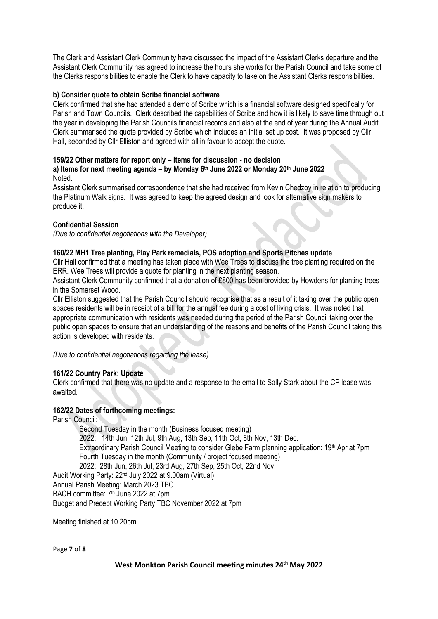The Clerk and Assistant Clerk Community have discussed the impact of the Assistant Clerks departure and the Assistant Clerk Community has agreed to increase the hours she works for the Parish Council and take some of the Clerks responsibilities to enable the Clerk to have capacity to take on the Assistant Clerks responsibilities.

## **b) Consider quote to obtain Scribe financial software**

Clerk confirmed that she had attended a demo of Scribe which is a financial software designed specifically for Parish and Town Councils. Clerk described the capabilities of Scribe and how it is likely to save time through out the year in developing the Parish Councils financial records and also at the end of year during the Annual Audit. Clerk summarised the quote provided by Scribe which includes an initial set up cost. It was proposed by Cllr Hall, seconded by Cllr Elliston and agreed with all in favour to accept the quote.

## **159/22 Other matters for report only – items for discussion - no decision**

## **a) Items for next meeting agenda – by Monday 6 th June 2022 or Monday 20th June 2022** Noted.

Assistant Clerk summarised correspondence that she had received from Kevin Chedzoy in relation to producing the Platinum Walk signs. It was agreed to keep the agreed design and look for alternative sign makers to produce it.

## **Confidential Session**

*(Due to confidential negotiations with the Developer).*

## **160/22 MH1 Tree planting, Play Park remedials, POS adoption and Sports Pitches update**

Cllr Hall confirmed that a meeting has taken place with Wee Trees to discuss the tree planting required on the ERR. Wee Trees will provide a quote for planting in the next planting season.

Assistant Clerk Community confirmed that a donation of £800 has been provided by Howdens for planting trees in the Somerset Wood.

Cllr Elliston suggested that the Parish Council should recognise that as a result of it taking over the public open spaces residents will be in receipt of a bill for the annual fee during a cost of living crisis. It was noted that appropriate communication with residents was needed during the period of the Parish Council taking over the public open spaces to ensure that an understanding of the reasons and benefits of the Parish Council taking this action is developed with residents.

*(Due to confidential negotiations regarding the lease)*

## **161/22 Country Park: Update**

Clerk confirmed that there was no update and a response to the email to Sally Stark about the CP lease was awaited.

## **162/22 Dates of forthcoming meetings:**

Parish Council: Second Tuesday in the month (Business focused meeting) 2022: 14th Jun, 12th Jul, 9th Aug, 13th Sep, 11th Oct, 8th Nov, 13th Dec. Extraordinary Parish Council Meeting to consider Glebe Farm planning application: 19<sup>th</sup> Apr at 7pm Fourth Tuesday in the month (Community / project focused meeting) 2022: 28th Jun, 26th Jul, 23rd Aug, 27th Sep, 25th Oct, 22nd Nov. Audit Working Party: 22nd July 2022 at 9.00am (Virtual) Annual Parish Meeting: March 2023 TBC BACH committee: 7<sup>th</sup> June 2022 at 7pm Budget and Precept Working Party TBC November 2022 at 7pm

Meeting finished at 10.20pm

Page **7** of **8**